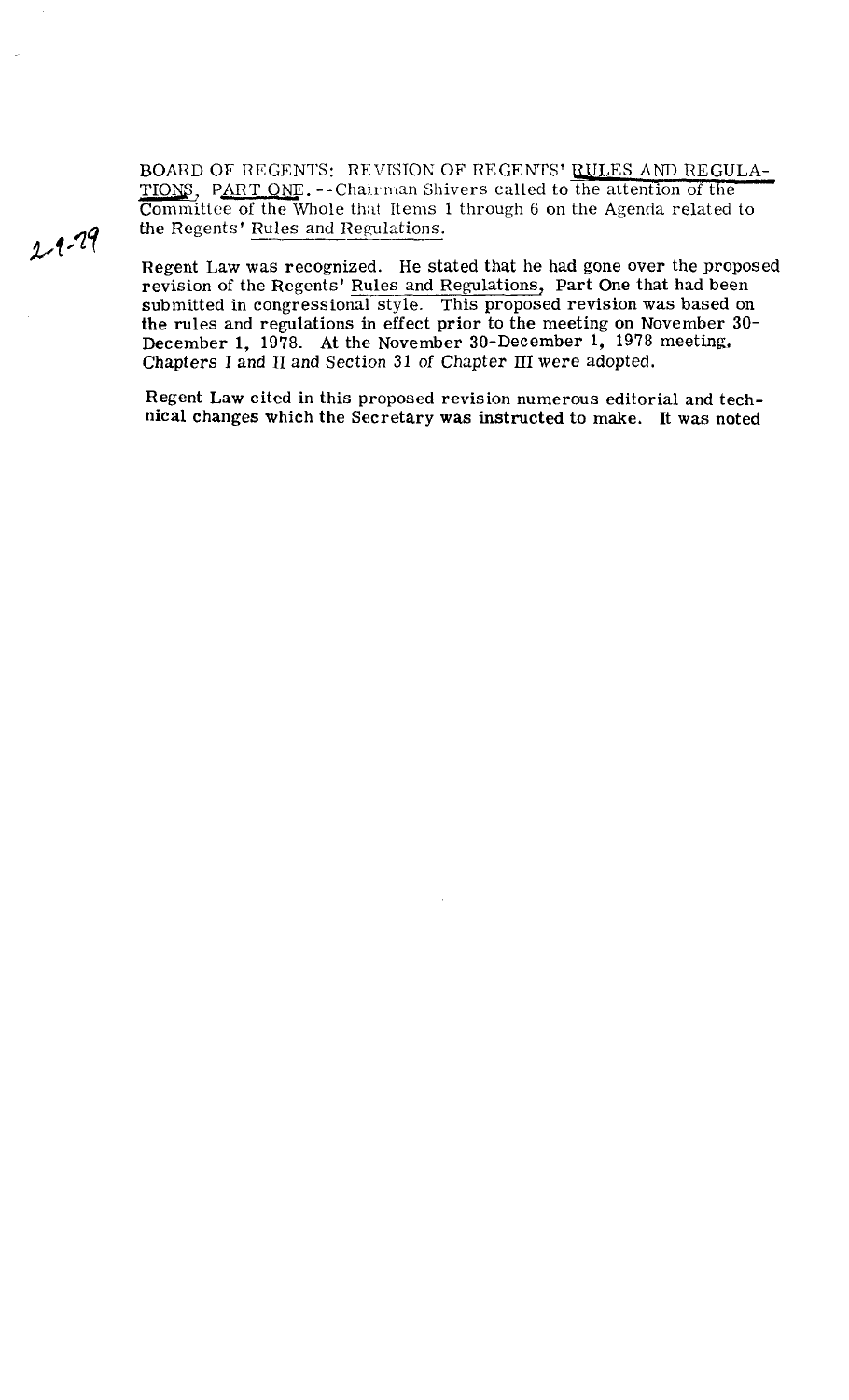BOARD OF REGENTS: REVISION OF REGENTS' <u>RULES AND REGULATIONS</u>, PART ONE. --Chairman Shivers called to the attention of the Committee of the Whole that Items 1 through 6 on the Agenda related to the Regents' <u>Rules and Reg</u> TIONS, PART ONE. -- Chairman Shivers called to the attention of the Committee of the Whole that Items 1 through 6 on the Agenda related to the Regents' Rules and Regulations.

**Cr** <sup>1</sup> Regent Law was recognized. He stated that he had gone over the proposed revision of the Regents' Rules and Regulations, Part One that had been submitted in congressional style. This proposed revision was based on the rules and regulations in effect prior to the meeting on November **30-**  December 1, 1978. At the November 30-December 1, 1978 meeting. Chapters I and **I1** and Section 31 of Chapter **111** were adopted.

> Regent Law cited in this proposed revision numerous editorial and technical changes which the Secretary was instructed to make. It was noted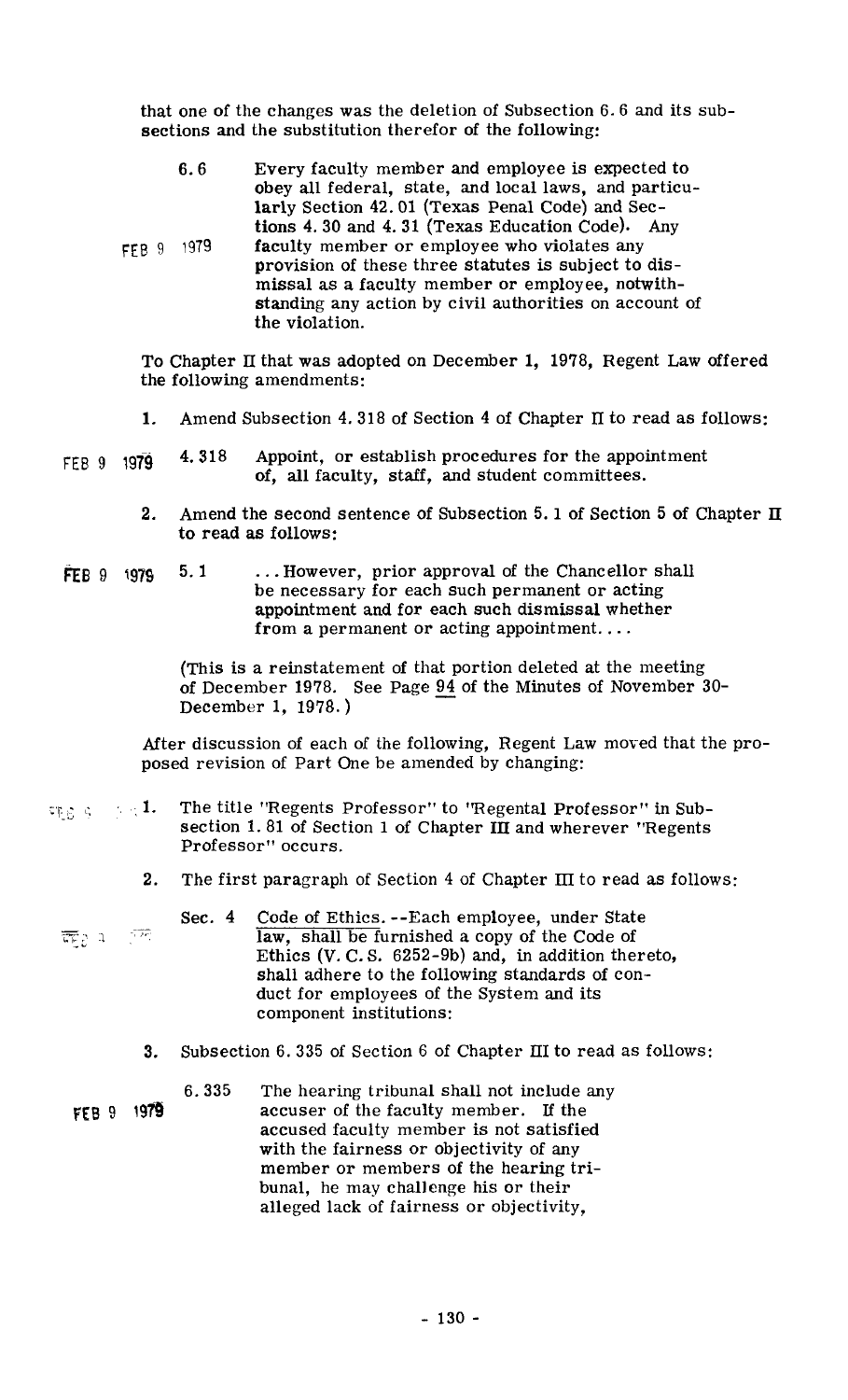that one of the changes was the deletion of Subsection 6.6 and its subsections and the substitution therefor of the following:

| 6.6                      | Every faculty member and employee is expected to<br>obey all federal, state, and local laws, and particu-<br>larly Section 42.01 (Texas Penal Code) and Sec-<br>tions 4.30 and 4.31 (Texas Education Code). Any                     |
|--------------------------|-------------------------------------------------------------------------------------------------------------------------------------------------------------------------------------------------------------------------------------|
| 1979<br>FFB <sub>9</sub> | faculty member or employee who violates any<br>provision of these three statutes is subject to dis-<br>missal as a faculty member or employee, notwith-<br>standing any action by civil authorities on account of<br>the violation. |

To Chapter **II** that was adopted on December 1, 1978, Regent Law offered the following amendments:

- **1.** Amend Subsection 4.318 of Section 4 of Chapter **IT** to read as follows:
- FEB 9 **1979** 4.318 Appoint, or establish procedures for the appointment of, all faculty, staff, and student committees.
	- **2.** Amend the second sentence of Subsection 5.1 of Section 5 of Chapter **11**  to read as follows:
- **FEB 9 1979 5.1 ... However, prior approval of the Chancellor shall** be necessary for each such permanent or acting appointment and for each such dismissal whether from a permanent or acting appointment....

(This is a reinstatement of that portion deleted at the meeting of December 1978. See Page 94 of the Minutes of November 30-December 1, 1978. )

After discussion of each of the following, Regent Law moved that the proposed revision of Part One be amended by changing:

- $\sigma_{\text{ES}} \in [-\pi, 1]$ The title "Regents Professor" to "Regental Professor" in Subsection 1.81 of Section 1 of Chapter **III** and wherever "Regents Professor" occurs.
	- The first paragraph of Section 4 of Chapter **III** to read as follows: 2.
	- Sec. 4 Code of Ethics. --Each employee, under State ा रहे law, shall be furnished a copy of the Code of Ethics (V. C. S.  $6252-9b)$  and, in addition thereto, shall adhere to the following standards of conduct for employees of the System and its component institutions:
		- Subsection 6.335 of Section 6 of Chapter **111** to read as follows: 3.
	- 6.335 The hearing tribunal shall not include any FEB 9 1979 accuser of the faculty member. If the accused faculty member is not satisfied with the fairness or objectivity of any member or members of the hearing tribunal, he may challenge his or their alleged lack of fairness or objectivity,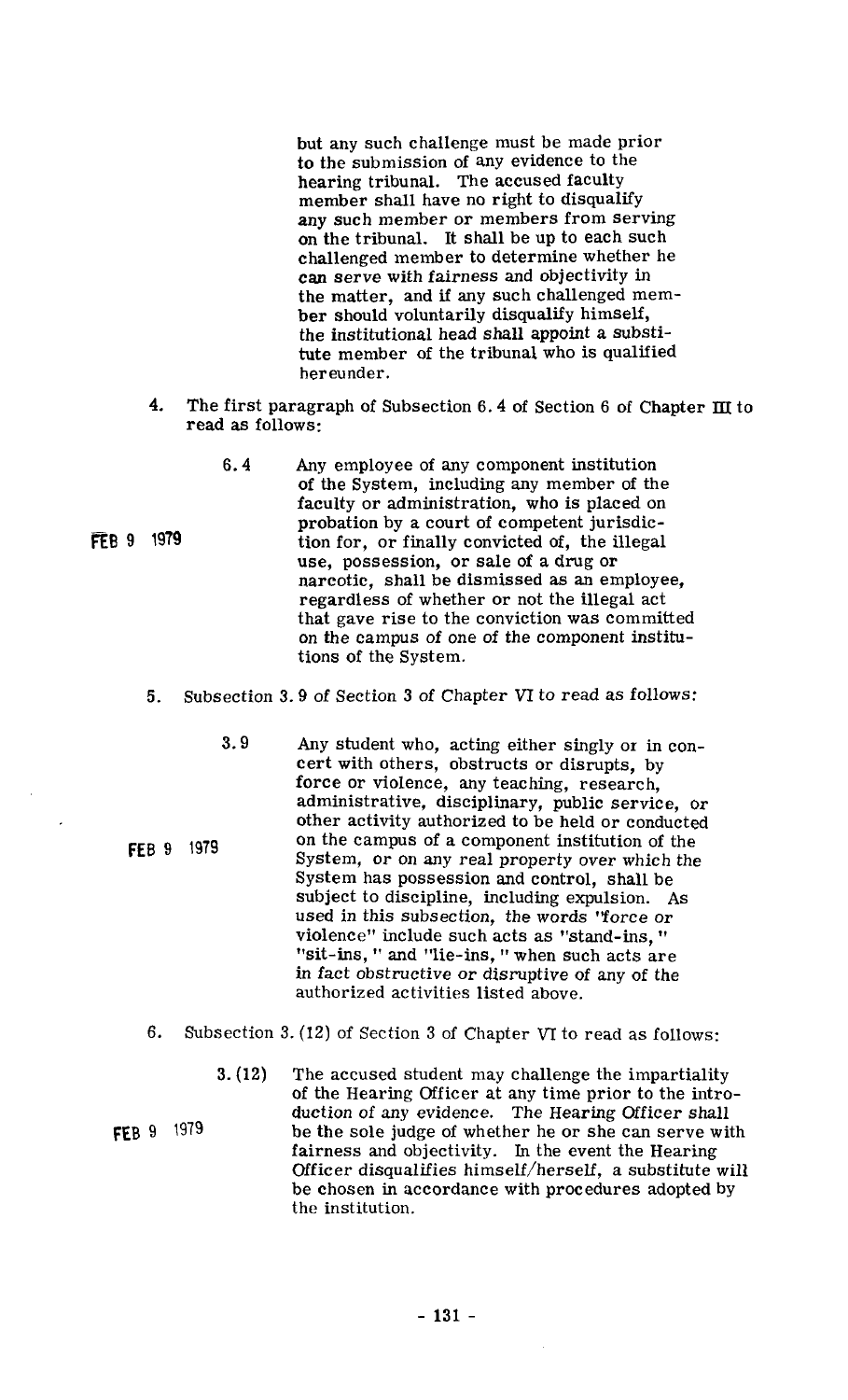but any such challenge must be made prior to the submission of any evidence to the hearing tribunal. The accused faculty member shall have no right to disqualify any such member or members from serving on the tribunal, It shall be up to each such challenged member to determine whether he can serve with fairness and objectivity in the matter, and if any such challenged member should voluntarily disqualify himself, the institutional head shall appoint a substitute member of the tribunal who is qualified hereunder.

- **4.** The first paragraph of Subsection 6.4 of Section 6 of Chapter III to read as follows:
	- **6.4** Any employee of any component institution of the System, including any member of the faculty or administration, who is placed on probation by a court of competent jurisdiction for, or finally convicted of, the illegal use, possession, or sale of a drug or narcotic, shall be dismissed as an employee, regardless of whether or not the illegal act that gave rise to the conviction was committed on the campus of one of the component institutions of the System.
- **5.** Subsection 3.9 of Section **3** of Chapter **VI** to read as follows:
	- **3.9** Any student who, acting either singly or in concert with others, obstructs or disrupts, by force or violence, any teaching, research, administrative, disciplinary, public service, or other activity authorized to be held or conducted on the campus of a component institution of the System, or on any real property over which the System has possession and control, shall be subject to discipline, including expulsion. As used in this subsection, the words "force or violence" include such acts as "stand-ins, "sit-ins, " and "lie-ins, " when such acts are in fact obstructive or disruptive of any of the authorized activities listed above.
- **6.** Subsection 3. (12) of Section **3** of Chapter VI to read as follows:
- **3. (12)** The accused student may challenge the impartiality of the Hearing Officer at any time prior to the introduction of any evidence. The Hearing Officer shall **fEB 9** 1979 be the sole judge of whether he or she can serve with fairness and objectivity. In the event the Hearing Officer disqualifies himself/herself, a substitute will be chosen in accordance with procedures adopted by the institution.

FEB 9 1979

**FEB 9 1979** 

 $-131 -$